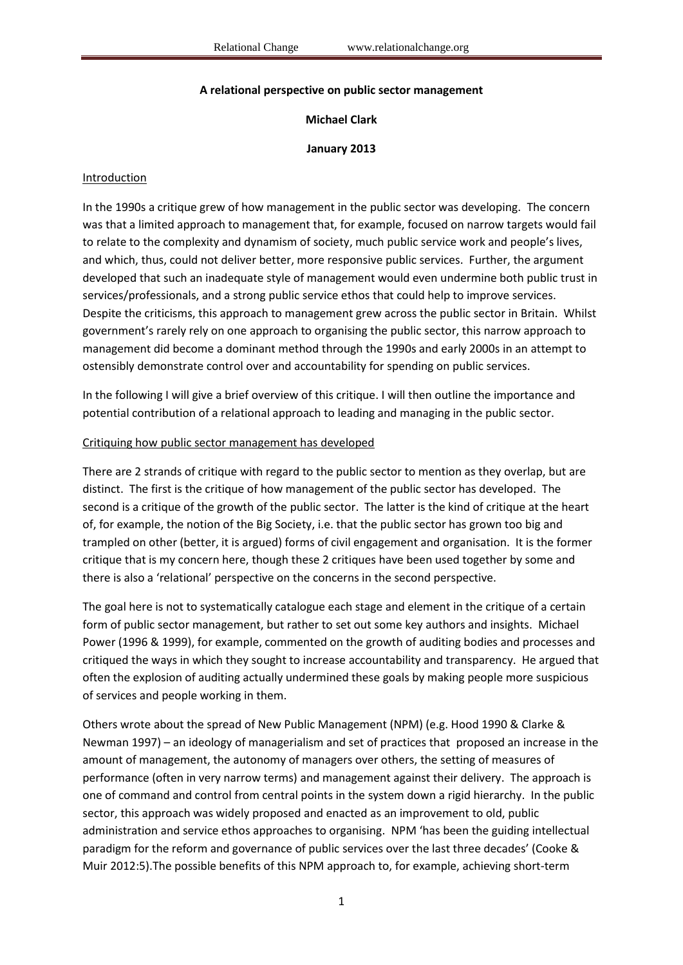### **A relational perspective on public sector management**

## **Michael Clark**

### **January 2013**

### Introduction

In the 1990s a critique grew of how management in the public sector was developing. The concern was that a limited approach to management that, for example, focused on narrow targets would fail to relate to the complexity and dynamism of society, much public service work and people's lives, and which, thus, could not deliver better, more responsive public services. Further, the argument developed that such an inadequate style of management would even undermine both public trust in services/professionals, and a strong public service ethos that could help to improve services. Despite the criticisms, this approach to management grew across the public sector in Britain. Whilst government's rarely rely on one approach to organising the public sector, this narrow approach to management did become a dominant method through the 1990s and early 2000s in an attempt to ostensibly demonstrate control over and accountability for spending on public services.

In the following I will give a brief overview of this critique. I will then outline the importance and potential contribution of a relational approach to leading and managing in the public sector.

#### Critiquing how public sector management has developed

There are 2 strands of critique with regard to the public sector to mention as they overlap, but are distinct. The first is the critique of how management of the public sector has developed. The second is a critique of the growth of the public sector. The latter is the kind of critique at the heart of, for example, the notion of the Big Society, i.e. that the public sector has grown too big and trampled on other (better, it is argued) forms of civil engagement and organisation. It is the former critique that is my concern here, though these 2 critiques have been used together by some and there is also a 'relational' perspective on the concerns in the second perspective.

The goal here is not to systematically catalogue each stage and element in the critique of a certain form of public sector management, but rather to set out some key authors and insights. Michael Power (1996 & 1999), for example, commented on the growth of auditing bodies and processes and critiqued the ways in which they sought to increase accountability and transparency. He argued that often the explosion of auditing actually undermined these goals by making people more suspicious of services and people working in them.

Others wrote about the spread of New Public Management (NPM) (e.g. Hood 1990 & Clarke & Newman 1997) – an ideology of managerialism and set of practices that proposed an increase in the amount of management, the autonomy of managers over others, the setting of measures of performance (often in very narrow terms) and management against their delivery. The approach is one of command and control from central points in the system down a rigid hierarchy. In the public sector, this approach was widely proposed and enacted as an improvement to old, public administration and service ethos approaches to organising. NPM 'has been the guiding intellectual paradigm for the reform and governance of public services over the last three decades' (Cooke & Muir 2012:5).The possible benefits of this NPM approach to, for example, achieving short-term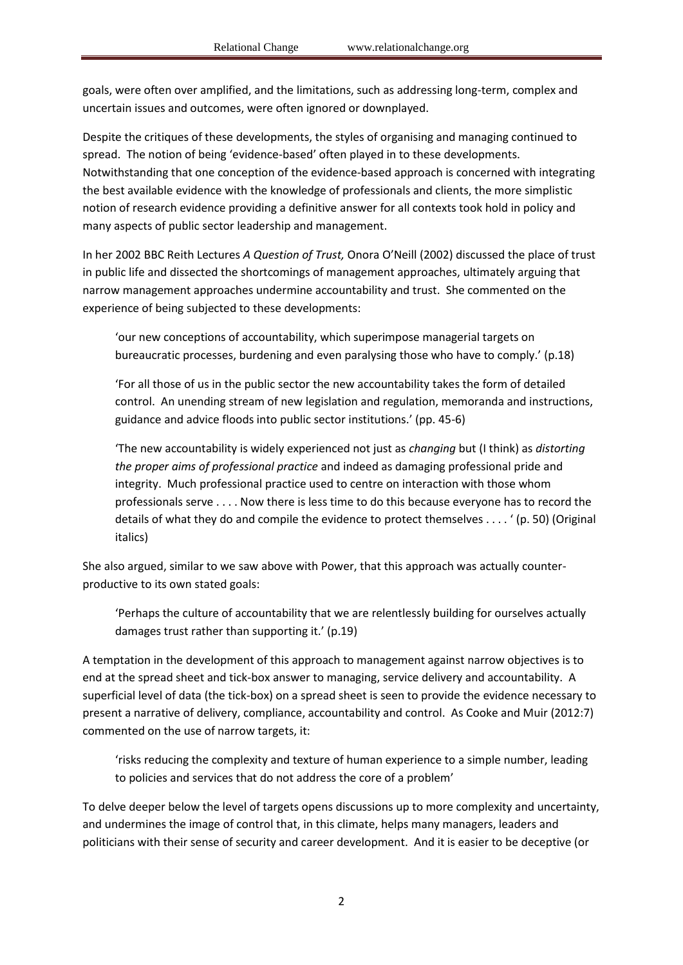goals, were often over amplified, and the limitations, such as addressing long-term, complex and uncertain issues and outcomes, were often ignored or downplayed.

Despite the critiques of these developments, the styles of organising and managing continued to spread. The notion of being 'evidence-based' often played in to these developments. Notwithstanding that one conception of the evidence-based approach is concerned with integrating the best available evidence with the knowledge of professionals and clients, the more simplistic notion of research evidence providing a definitive answer for all contexts took hold in policy and many aspects of public sector leadership and management.

In her 2002 BBC Reith Lectures *A Question of Trust,* Onora O'Neill (2002) discussed the place of trust in public life and dissected the shortcomings of management approaches, ultimately arguing that narrow management approaches undermine accountability and trust. She commented on the experience of being subjected to these developments:

'our new conceptions of accountability, which superimpose managerial targets on bureaucratic processes, burdening and even paralysing those who have to comply.' (p.18)

'For all those of us in the public sector the new accountability takes the form of detailed control. An unending stream of new legislation and regulation, memoranda and instructions, guidance and advice floods into public sector institutions.' (pp. 45-6)

'The new accountability is widely experienced not just as *changing* but (I think) as *distorting the proper aims of professional practice* and indeed as damaging professional pride and integrity. Much professional practice used to centre on interaction with those whom professionals serve . . . . Now there is less time to do this because everyone has to record the details of what they do and compile the evidence to protect themselves . . . . ' (p. 50) (Original italics)

She also argued, similar to we saw above with Power, that this approach was actually counterproductive to its own stated goals:

'Perhaps the culture of accountability that we are relentlessly building for ourselves actually damages trust rather than supporting it.' (p.19)

A temptation in the development of this approach to management against narrow objectives is to end at the spread sheet and tick-box answer to managing, service delivery and accountability. A superficial level of data (the tick-box) on a spread sheet is seen to provide the evidence necessary to present a narrative of delivery, compliance, accountability and control. As Cooke and Muir (2012:7) commented on the use of narrow targets, it:

'risks reducing the complexity and texture of human experience to a simple number, leading to policies and services that do not address the core of a problem'

To delve deeper below the level of targets opens discussions up to more complexity and uncertainty, and undermines the image of control that, in this climate, helps many managers, leaders and politicians with their sense of security and career development. And it is easier to be deceptive (or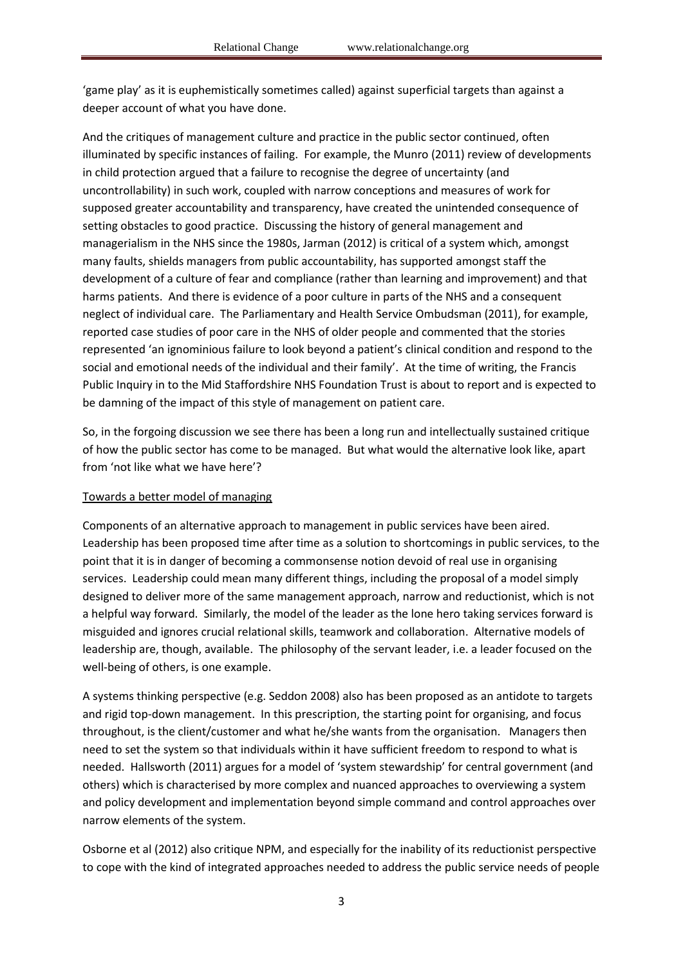'game play' as it is euphemistically sometimes called) against superficial targets than against a deeper account of what you have done.

And the critiques of management culture and practice in the public sector continued, often illuminated by specific instances of failing. For example, the Munro (2011) review of developments in child protection argued that a failure to recognise the degree of uncertainty (and uncontrollability) in such work, coupled with narrow conceptions and measures of work for supposed greater accountability and transparency, have created the unintended consequence of setting obstacles to good practice. Discussing the history of general management and managerialism in the NHS since the 1980s, Jarman (2012) is critical of a system which, amongst many faults, shields managers from public accountability, has supported amongst staff the development of a culture of fear and compliance (rather than learning and improvement) and that harms patients. And there is evidence of a poor culture in parts of the NHS and a consequent neglect of individual care. The Parliamentary and Health Service Ombudsman (2011), for example, reported case studies of poor care in the NHS of older people and commented that the stories represented 'an ignominious failure to look beyond a patient's clinical condition and respond to the social and emotional needs of the individual and their family'. At the time of writing, the Francis Public Inquiry in to the Mid Staffordshire NHS Foundation Trust is about to report and is expected to be damning of the impact of this style of management on patient care.

So, in the forgoing discussion we see there has been a long run and intellectually sustained critique of how the public sector has come to be managed. But what would the alternative look like, apart from 'not like what we have here'?

### Towards a better model of managing

Components of an alternative approach to management in public services have been aired. Leadership has been proposed time after time as a solution to shortcomings in public services, to the point that it is in danger of becoming a commonsense notion devoid of real use in organising services. Leadership could mean many different things, including the proposal of a model simply designed to deliver more of the same management approach, narrow and reductionist, which is not a helpful way forward. Similarly, the model of the leader as the lone hero taking services forward is misguided and ignores crucial relational skills, teamwork and collaboration. Alternative models of leadership are, though, available. The philosophy of the servant leader, i.e. a leader focused on the well-being of others, is one example.

A systems thinking perspective (e.g. Seddon 2008) also has been proposed as an antidote to targets and rigid top-down management. In this prescription, the starting point for organising, and focus throughout, is the client/customer and what he/she wants from the organisation. Managers then need to set the system so that individuals within it have sufficient freedom to respond to what is needed. Hallsworth (2011) argues for a model of 'system stewardship' for central government (and others) which is characterised by more complex and nuanced approaches to overviewing a system and policy development and implementation beyond simple command and control approaches over narrow elements of the system.

Osborne et al (2012) also critique NPM, and especially for the inability of its reductionist perspective to cope with the kind of integrated approaches needed to address the public service needs of people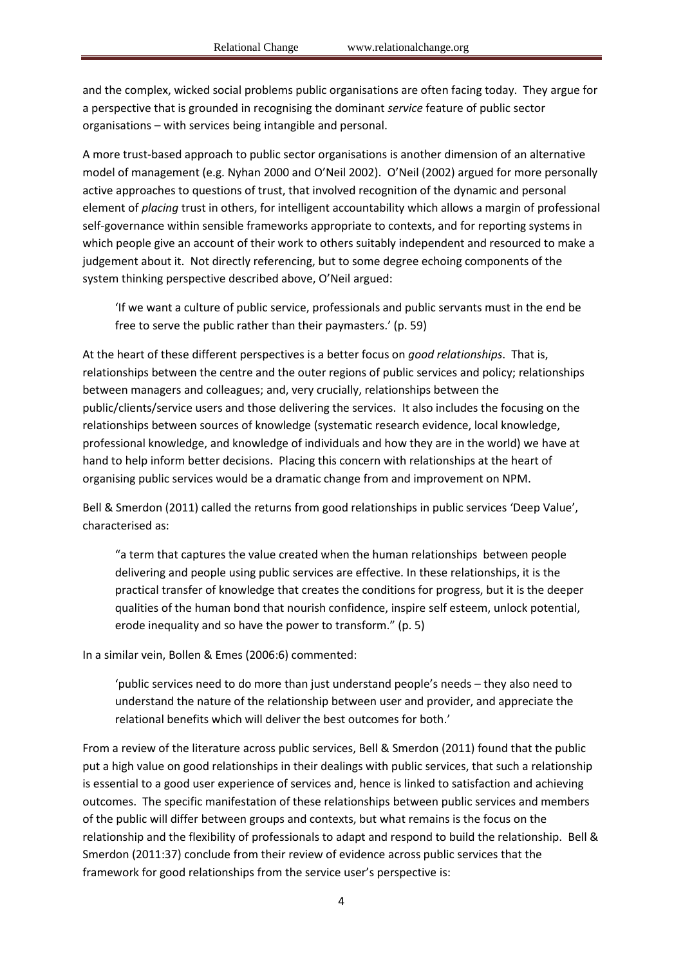and the complex, wicked social problems public organisations are often facing today. They argue for a perspective that is grounded in recognising the dominant *service* feature of public sector organisations – with services being intangible and personal.

A more trust-based approach to public sector organisations is another dimension of an alternative model of management (e.g. Nyhan 2000 and O'Neil 2002). O'Neil (2002) argued for more personally active approaches to questions of trust, that involved recognition of the dynamic and personal element of *placing* trust in others, for intelligent accountability which allows a margin of professional self-governance within sensible frameworks appropriate to contexts, and for reporting systems in which people give an account of their work to others suitably independent and resourced to make a judgement about it. Not directly referencing, but to some degree echoing components of the system thinking perspective described above, O'Neil argued:

'If we want a culture of public service, professionals and public servants must in the end be free to serve the public rather than their paymasters.' (p. 59)

At the heart of these different perspectives is a better focus on *good relationships*. That is, relationships between the centre and the outer regions of public services and policy; relationships between managers and colleagues; and, very crucially, relationships between the public/clients/service users and those delivering the services. It also includes the focusing on the relationships between sources of knowledge (systematic research evidence, local knowledge, professional knowledge, and knowledge of individuals and how they are in the world) we have at hand to help inform better decisions. Placing this concern with relationships at the heart of organising public services would be a dramatic change from and improvement on NPM.

Bell & Smerdon (2011) called the returns from good relationships in public services 'Deep Value', characterised as:

"a term that captures the value created when the human relationships between people delivering and people using public services are effective. In these relationships, it is the practical transfer of knowledge that creates the conditions for progress, but it is the deeper qualities of the human bond that nourish confidence, inspire self esteem, unlock potential, erode inequality and so have the power to transform." (p. 5)

In a similar vein, Bollen & Emes (2006:6) commented:

'public services need to do more than just understand people's needs – they also need to understand the nature of the relationship between user and provider, and appreciate the relational benefits which will deliver the best outcomes for both.'

From a review of the literature across public services, Bell & Smerdon (2011) found that the public put a high value on good relationships in their dealings with public services, that such a relationship is essential to a good user experience of services and, hence is linked to satisfaction and achieving outcomes. The specific manifestation of these relationships between public services and members of the public will differ between groups and contexts, but what remains is the focus on the relationship and the flexibility of professionals to adapt and respond to build the relationship. Bell & Smerdon (2011:37) conclude from their review of evidence across public services that the framework for good relationships from the service user's perspective is: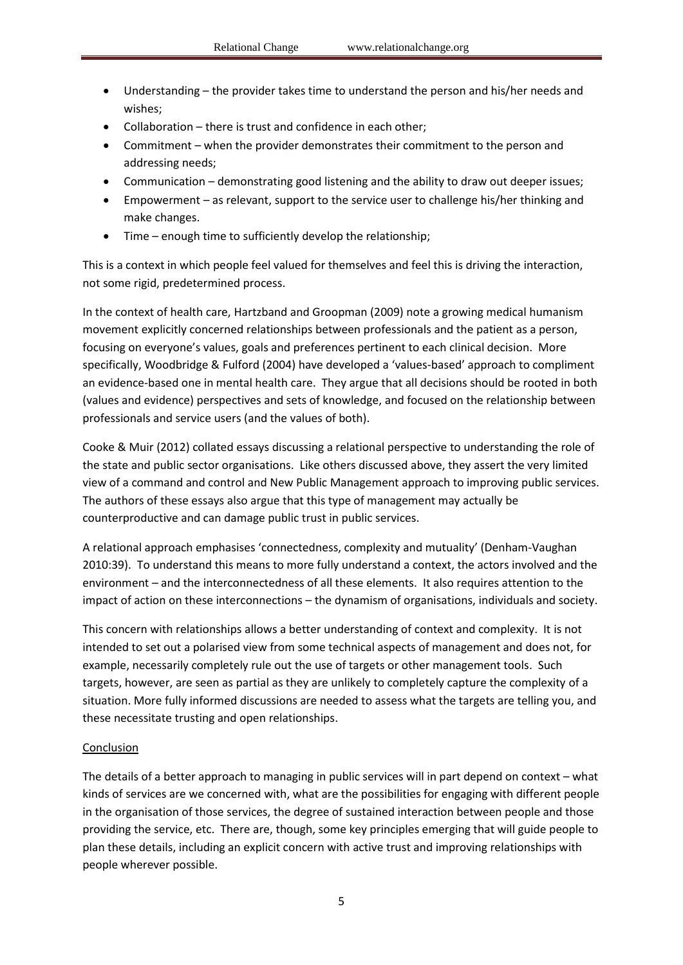- Understanding the provider takes time to understand the person and his/her needs and wishes;
- Collaboration there is trust and confidence in each other;
- Commitment when the provider demonstrates their commitment to the person and addressing needs;
- Communication demonstrating good listening and the ability to draw out deeper issues;
- Empowerment as relevant, support to the service user to challenge his/her thinking and make changes.
- Time enough time to sufficiently develop the relationship;

This is a context in which people feel valued for themselves and feel this is driving the interaction, not some rigid, predetermined process.

In the context of health care, Hartzband and Groopman (2009) note a growing medical humanism movement explicitly concerned relationships between professionals and the patient as a person, focusing on everyone's values, goals and preferences pertinent to each clinical decision. More specifically, Woodbridge & Fulford (2004) have developed a 'values-based' approach to compliment an evidence-based one in mental health care. They argue that all decisions should be rooted in both (values and evidence) perspectives and sets of knowledge, and focused on the relationship between professionals and service users (and the values of both).

Cooke & Muir (2012) collated essays discussing a relational perspective to understanding the role of the state and public sector organisations. Like others discussed above, they assert the very limited view of a command and control and New Public Management approach to improving public services. The authors of these essays also argue that this type of management may actually be counterproductive and can damage public trust in public services.

A relational approach emphasises 'connectedness, complexity and mutuality' (Denham-Vaughan 2010:39). To understand this means to more fully understand a context, the actors involved and the environment – and the interconnectedness of all these elements. It also requires attention to the impact of action on these interconnections – the dynamism of organisations, individuals and society.

This concern with relationships allows a better understanding of context and complexity. It is not intended to set out a polarised view from some technical aspects of management and does not, for example, necessarily completely rule out the use of targets or other management tools. Such targets, however, are seen as partial as they are unlikely to completely capture the complexity of a situation. More fully informed discussions are needed to assess what the targets are telling you, and these necessitate trusting and open relationships.

#### Conclusion

The details of a better approach to managing in public services will in part depend on context – what kinds of services are we concerned with, what are the possibilities for engaging with different people in the organisation of those services, the degree of sustained interaction between people and those providing the service, etc. There are, though, some key principles emerging that will guide people to plan these details, including an explicit concern with active trust and improving relationships with people wherever possible.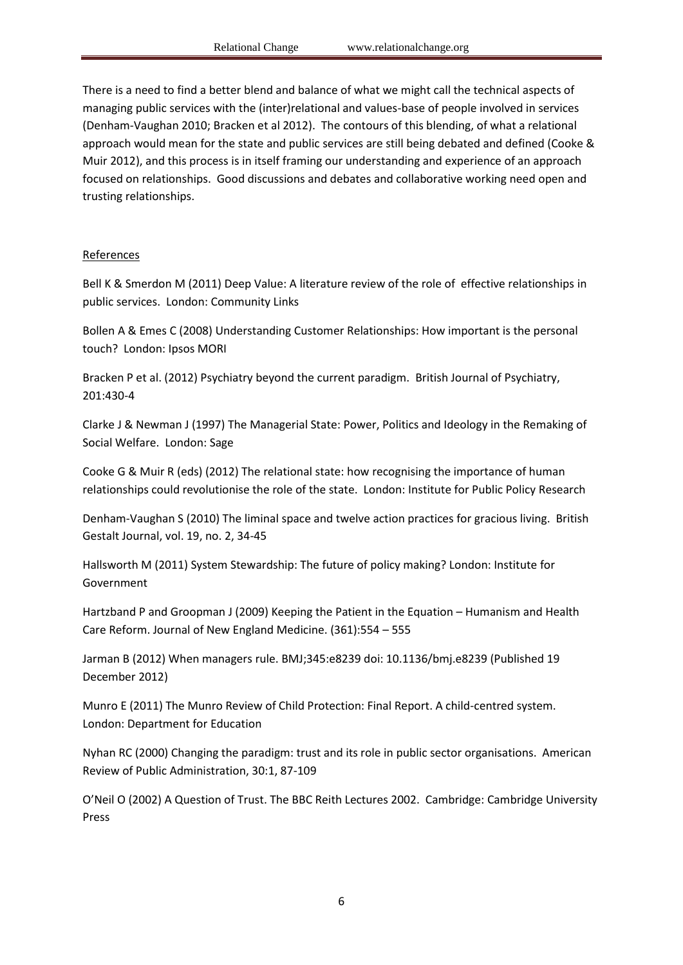There is a need to find a better blend and balance of what we might call the technical aspects of managing public services with the (inter)relational and values-base of people involved in services (Denham-Vaughan 2010; Bracken et al 2012). The contours of this blending, of what a relational approach would mean for the state and public services are still being debated and defined (Cooke & Muir 2012), and this process is in itself framing our understanding and experience of an approach focused on relationships. Good discussions and debates and collaborative working need open and trusting relationships.

# **References**

Bell K & Smerdon M (2011) Deep Value: A literature review of the role of effective relationships in public services. London: Community Links

Bollen A & Emes C (2008) Understanding Customer Relationships: How important is the personal touch? London: Ipsos MORI

Bracken P et al. (2012) Psychiatry beyond the current paradigm. British Journal of Psychiatry, 201:430-4

Clarke J & Newman J (1997) The Managerial State: Power, Politics and Ideology in the Remaking of Social Welfare. London: Sage

Cooke G & Muir R (eds) (2012) The relational state: how recognising the importance of human relationships could revolutionise the role of the state. London: Institute for Public Policy Research

Denham-Vaughan S (2010) The liminal space and twelve action practices for gracious living. British Gestalt Journal, vol. 19, no. 2, 34-45

Hallsworth M (2011) System Stewardship: The future of policy making? London: Institute for Government

Hartzband P and Groopman J (2009) Keeping the Patient in the Equation – Humanism and Health Care Reform. Journal of New England Medicine. (361):554 – 555

Jarman B (2012) When managers rule. BMJ;345:e8239 doi: 10.1136/bmj.e8239 (Published 19 December 2012)

Munro E (2011) The Munro Review of Child Protection: Final Report. A child-centred system. London: Department for Education

Nyhan RC (2000) Changing the paradigm: trust and its role in public sector organisations. American Review of Public Administration, 30:1, 87-109

O'Neil O (2002) A Question of Trust. The BBC Reith Lectures 2002. Cambridge: Cambridge University Press